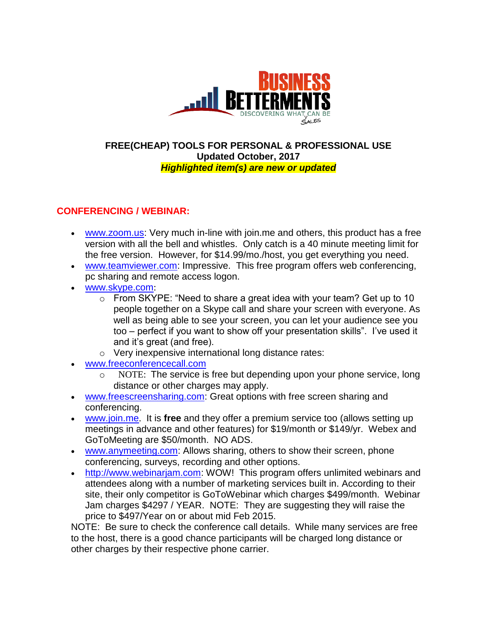

## **FREE(CHEAP) TOOLS FOR PERSONAL & PROFESSIONAL USE Updated October, 2017** *Highlighted item(s) are new or updated*

## **CONFERENCING / WEBINAR:**

- [www.zoom.us:](http://www.zoom.us/) Very much in-line with join.me and others, this product has a free version with all the bell and whistles. Only catch is a 40 minute meeting limit for the free version. However, for \$14.99/mo./host, you get everything you need.
- [www.teamviewer.com:](http://www.teamviewer.com/) Impressive. This free program offers web conferencing, pc sharing and remote access logon.
- [www.skype.com](http://www.skype.com/):
	- o From SKYPE: "Need to share a great idea with your team? Get up to 10 people together on a Skype call and share your screen with everyone. As well as being able to see your screen, you can let your audience see you too – perfect if you want to show off your presentation skills". I've used it and it's great (and free).
	- o Very inexpensive international long distance rates:
- [www.freeconferencecall.com](http://www.freeconferencecall.com/)
	- o NOTE: The service is free but depending upon your phone service, long distance or other charges may apply.
- [www.freescreensharing.com:](http://www.freescreensharing.com/) Great options with free screen sharing and conferencing.
- [www.join.me](http://www.join.me/). It is **free** and they offer a premium service too (allows setting up meetings in advance and other features) for \$19/month or \$149/yr. Webex and GoToMeeting are \$50/month. NO ADS.
- [www.anymeeting.com:](http://www.anymeeting.com/) Allows sharing, others to show their screen, phone conferencing, surveys, recording and other options.
- [http://www.webinarjam.com:](http://www.webinarjam.com/) WOW! This program offers unlimited webinars and attendees along with a number of marketing services built in. According to their site, their only competitor is GoToWebinar which charges \$499/month. Webinar Jam charges \$4297 / YEAR. NOTE: They are suggesting they will raise the price to \$497/Year on or about mid Feb 2015.

NOTE: Be sure to check the conference call details. While many services are free to the host, there is a good chance participants will be charged long distance or other charges by their respective phone carrier.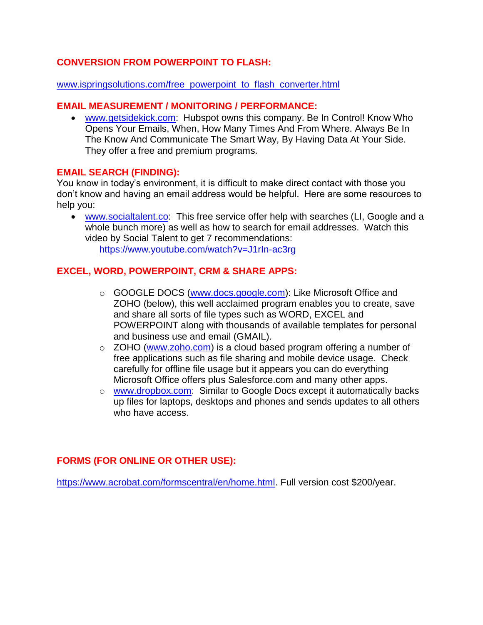# **CONVERSION FROM POWERPOINT TO FLASH:**

#### [www.ispringsolutions.com/free\\_powerpoint\\_to\\_flash\\_converter.html](http://www.ispringsolutions.com/free_powerpoint_to_flash_converter.html)

#### **EMAIL MEASUREMENT / MONITORING / PERFORMANCE:**

• [www.getsidekick.com:](http://www.getsidekick.com/) Hubspot owns this company. Be In Control! Know Who Opens Your Emails, When, How Many Times And From Where. Always Be In The Know And Communicate The Smart Way, By Having Data At Your Side. They offer a free and premium programs.

#### **EMAIL SEARCH (FINDING):**

You know in today's environment, it is difficult to make direct contact with those you don't know and having an email address would be helpful. Here are some resources to help you:

• [www.socialtalent.co:](http://www.socialtalent.co/) This free service offer help with searches (LI, Google and a whole bunch more) as well as how to search for email addresses. Watch this video by Social Talent to get 7 recommendations: <https://www.youtube.com/watch?v=J1rIn-ac3rg>

### **EXCEL, WORD, POWERPOINT, CRM & SHARE APPS:**

- o GOOGLE DOCS [\(www.docs.google.com\)](http://www.docs.google.com/): Like Microsoft Office and ZOHO (below), this well acclaimed program enables you to create, save and share all sorts of file types such as WORD, EXCEL and POWERPOINT along with thousands of available templates for personal and business use and email (GMAIL).
- $\circ$  ZOHO [\(www.zoho.com\)](http://www.zoho.com/) is a cloud based program offering a number of free applications such as file sharing and mobile device usage. Check carefully for offline file usage but it appears you can do everything Microsoft Office offers plus Salesforce.com and many other apps.
- o [www.dropbox.com:](http://www.dropbox.com/) Similar to Google Docs except it automatically backs up files for laptops, desktops and phones and sends updates to all others who have access.

### **FORMS (FOR ONLINE OR OTHER USE):**

[https://www.acrobat.com/formscentral/en/home.html.](https://www.acrobat.com/formscentral/en/home.html) Full version cost \$200/year.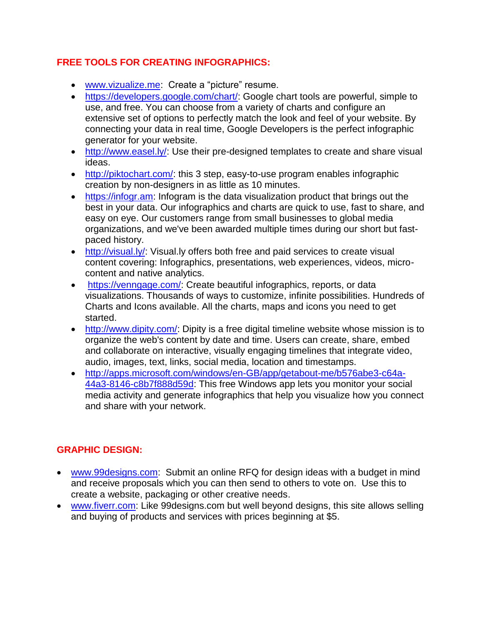# **FREE TOOLS FOR CREATING INFOGRAPHICS:**

- [www.vizualize.me:](http://www.vizualize.me/) Create a "picture" resume.
- [https://developers.google.com/chart/:](https://developers.google.com/chart/) Google chart tools are powerful, simple to use, and free. You can choose from a variety of charts and configure an extensive set of options to perfectly match the look and feel of your website. By connecting your data in real time, Google Developers is the perfect infographic generator for your website.
- [http://www.easel.ly/:](http://www.easel.ly/) Use their pre-designed templates to create and share visual ideas.
- [http://piktochart.com/:](http://piktochart.com/) this 3 step, easy-to-use program enables infographic creation by non-designers in as little as 10 minutes.
- [https://infogr.am:](https://infogr.am/) Infogram is the data visualization product that brings out the best in your data. Our infographics and charts are quick to use, fast to share, and easy on eye. Our customers range from small businesses to global media organizations, and we've been awarded multiple times during our short but fastpaced history.
- [http://visual.ly/:](http://visual.ly/) Visual.ly offers both free and paid services to create visual content covering: Infographics, presentations, web experiences, videos, microcontent and native analytics.
- [https://venngage.com/:](https://venngage.com/) Create beautiful infographics, reports, or data visualizations. Thousands of ways to customize, infinite possibilities. Hundreds of Charts and Icons available. All the charts, maps and icons you need to get started.
- [http://www.dipity.com/:](http://www.dipity.com/) Dipity is a free digital timeline website whose mission is to organize the web's content by date and time. Users can create, share, embed and collaborate on interactive, visually engaging timelines that integrate video, audio, images, text, links, social media, location and timestamps.
- [http://apps.microsoft.com/windows/en-GB/app/getabout-me/b576abe3-c64a-](http://apps.microsoft.com/windows/en-GB/app/getabout-me/b576abe3-c64a-44a3-8146-c8b7f888d59d)[44a3-8146-c8b7f888d59d:](http://apps.microsoft.com/windows/en-GB/app/getabout-me/b576abe3-c64a-44a3-8146-c8b7f888d59d) This free Windows app lets you monitor your social media activity and generate infographics that help you visualize how you connect and share with your network.

# **GRAPHIC DESIGN:**

- [www.99designs.com:](http://www.99designs.com/)Submit an online RFQ for design ideas with a budget in mind and receive proposals which you can then send to others to vote on. Use this to create a website, packaging or other creative needs.
- [www.fiverr.com:](http://www.fiverr.com/) Like 99designs.com but well beyond designs, this site allows selling and buying of products and services with prices beginning at \$5.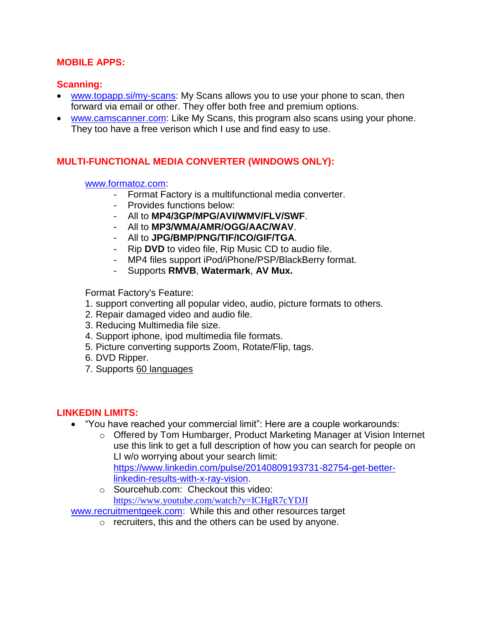## **MOBILE APPS:**

# **Scanning:**

- [www.topapp.si/my-scans:](http://www.topapp.si/my-scans) My Scans allows you to use your phone to scan, then forward via email or other. They offer both free and premium options.
- [www.camscanner.com:](http://www.camscanner.com/) Like My Scans, this program also scans using your phone. They too have a free verison which I use and find easy to use.

# **MULTI-FUNCTIONAL MEDIA CONVERTER (WINDOWS ONLY):**

#### [www.formatoz.com:](http://www.formatoz.com/)

- Format Factory is a multifunctional media converter.
- Provides functions below:
- All to **MP4/3GP/MPG/AVI/WMV/FLV/SWF**.
- All to **MP3/WMA/AMR/OGG/AAC/WAV**.
- All to **JPG/BMP/PNG/TIF/ICO/GIF/TGA**.
- Rip **DVD** to video file, Rip Music CD to audio file.
- MP4 files support iPod/iPhone/PSP/BlackBerry format.
- Supports **RMVB**, **Watermark**, **AV Mux.**

Format Factory's Feature:

- 1. support converting all popular video, audio, picture formats to others.
- 2. Repair damaged video and audio file.
- 3. Reducing Multimedia file size.
- 4. Support iphone, ipod multimedia file formats.
- 5. Picture converting supports Zoom, Rotate/Flip, tags.
- 6. DVD Ripper.
- 7. Supports [60 languages](http://www.formatoz.com/language.html)

### **LINKEDIN LIMITS:**

- "You have reached your commercial limit": Here are a couple workarounds:
	- o Offered by Tom Humbarger, Product Marketing Manager at Vision Internet use this link to get a full description of how you can search for people on LI w/o worrying about your search limit: [https://www.linkedin.com/pulse/20140809193731-82754-get-better](https://www.linkedin.com/pulse/20140809193731-82754-get-better-linkedin-results-with-x-ray-vision)[linkedin-results-with-x-ray-vision.](https://www.linkedin.com/pulse/20140809193731-82754-get-better-linkedin-results-with-x-ray-vision)
	- o Sourcehub.com: Checkout this video: <https://www.youtube.com/watch?v=ICHgR7cYDJI>

[www.recruitmentgeek.com:](http://www.recruitmentgeek.com/) While this and other resources target

o recruiters, this and the others can be used by anyone.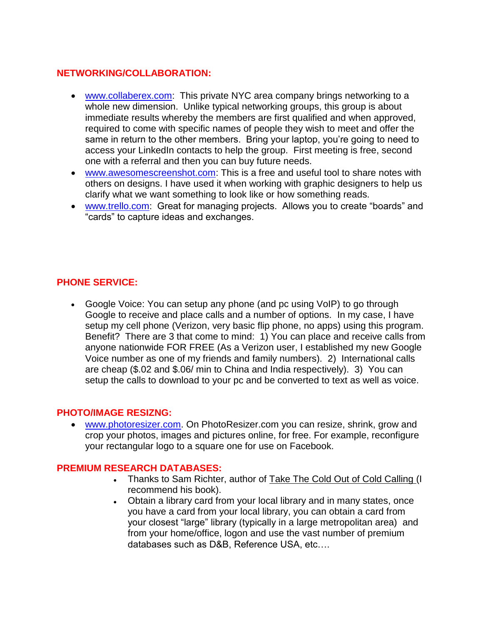## **NETWORKING/COLLABORATION:**

- [www.collaberex.com:](http://www.collaberex.com/) This private NYC area company brings networking to a whole new dimension. Unlike typical networking groups, this group is about immediate results whereby the members are first qualified and when approved, required to come with specific names of people they wish to meet and offer the same in return to the other members. Bring your laptop, you're going to need to access your LinkedIn contacts to help the group. First meeting is free, second one with a referral and then you can buy future needs.
- [www.awesomescreenshot.com:](http://www.awesomescreenshot.com/) This is a free and useful tool to share notes with others on designs. I have used it when working with graphic designers to help us clarify what we want something to look like or how something reads.
- [www.trello.com:](http://www.trello.com/) Great for managing projects. Allows you to create "boards" and "cards" to capture ideas and exchanges.

# **PHONE SERVICE:**

• Google Voice: You can setup any phone (and pc using VoIP) to go through Google to receive and place calls and a number of options. In my case, I have setup my cell phone (Verizon, very basic flip phone, no apps) using this program. Benefit? There are 3 that come to mind: 1) You can place and receive calls from anyone nationwide FOR FREE (As a Verizon user, I established my new Google Voice number as one of my friends and family numbers). 2) International calls are cheap (\$.02 and \$.06/ min to China and India respectively). 3) You can setup the calls to download to your pc and be converted to text as well as voice.

### **PHOTO/IMAGE RESIZNG:**

• [www.photoresizer.com.](http://www.photoresizer.com/) On PhotoResizer.com you can resize, shrink, grow and crop your photos, images and pictures online, for free. For example, reconfigure your rectangular logo to a square one for use on Facebook.

### **PREMIUM RESEARCH DATABASES:**

- Thanks to Sam Richter, author of Take The Cold Out of Cold Calling (I recommend his book).
- Obtain a library card from your local library and in many states, once you have a card from your local library, you can obtain a card from your closest "large" library (typically in a large metropolitan area) and from your home/office, logon and use the vast number of premium databases such as D&B, Reference USA, etc….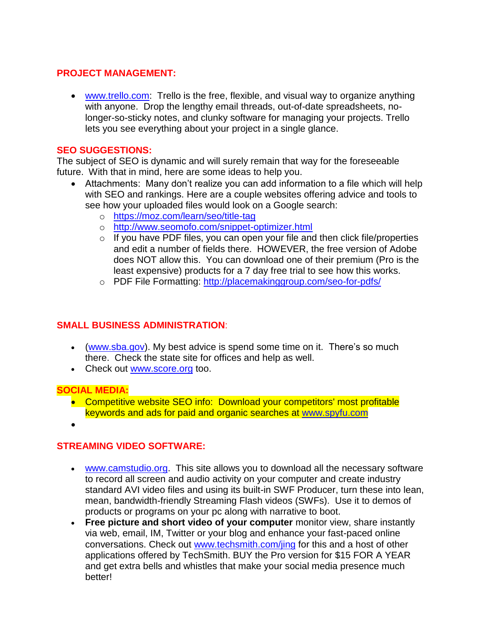## **PROJECT MANAGEMENT:**

• [www.trello.com:](http://www.trello.com/) Trello is the free, flexible, and visual way to organize anything with anyone. Drop the lengthy email threads, out-of-date spreadsheets, nolonger-so-sticky notes, and clunky software for managing your projects. Trello lets you see everything about your project in a single glance.

### **SEO SUGGESTIONS:**

The subject of SEO is dynamic and will surely remain that way for the foreseeable future. With that in mind, here are some ideas to help you.

- Attachments: Many don't realize you can add information to a file which will help with SEO and rankings. Here are a couple websites offering advice and tools to see how your uploaded files would look on a Google search:
	- o <https://moz.com/learn/seo/title-tag>
	- o <http://www.seomofo.com/snippet-optimizer.html>
	- $\circ$  If you have PDF files, you can open your file and then click file/properties and edit a number of fields there. HOWEVER, the free version of Adobe does NOT allow this. You can download one of their premium (Pro is the least expensive) products for a 7 day free trial to see how this works.
	- o PDF File Formatting:<http://placemakinggroup.com/seo-for-pdfs/>

# **SMALL BUSINESS ADMINISTRATION**:

- [\(www.sba.gov\)](http://www.sba.gov/). My best advice is spend some time on it. There's so much there. Check the state site for offices and help as well.
- Check out [www.score.org](http://www.score.org/) too.

### **SOCIAL MEDIA:**

- Competitive website SEO info: Download your competitors' most profitable keywords and ads for paid and organic searches at [www.spyfu.com](http://www.spyfu.com/)
- •

# **STREAMING VIDEO SOFTWARE:**

- [www.camstudio.org.](http://www.camstudio.org/) This site allows you to download all the necessary software to record all screen and audio activity on your computer and create industry standard AVI video files and using its built-in SWF Producer, turn these into lean, mean, bandwidth-friendly Streaming Flash videos (SWFs). Use it to demos of products or programs on your pc along with narrative to boot.
- **Free picture and short video of your computer** monitor view, share instantly via web, email, IM, Twitter or your blog and enhance your fast-paced online conversations. Check out [www.techsmith.com/jing](http://www.techsmith.com/jing) for this and a host of other applications offered by TechSmith. BUY the Pro version for \$15 FOR A YEAR and get extra bells and whistles that make your social media presence much better!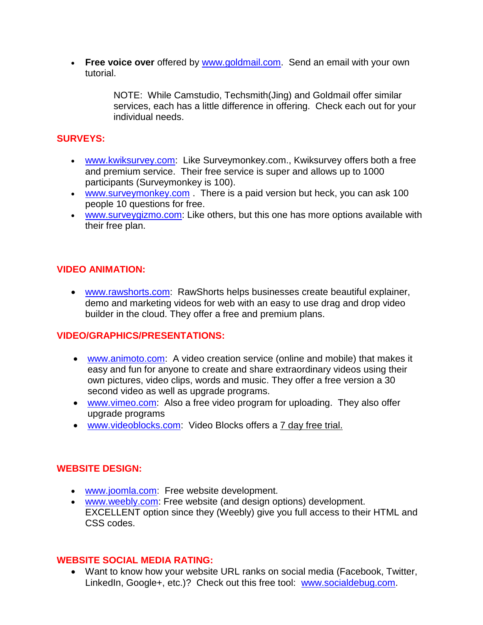• **Free voice over** offered by [www.goldmail.com.](http://www.goldmail.com/) Send an email with your own tutorial.

> NOTE: While Camstudio, Techsmith(Jing) and Goldmail offer similar services, each has a little difference in offering. Check each out for your individual needs.

## **SURVEYS:**

- [www.kwiksurvey.com:](http://www.kwiksurvey.com/) Like Surveymonkey.com., Kwiksurvey offers both a free and premium service. Their free service is super and allows up to 1000 participants (Surveymonkey is 100).
- [www.surveymonkey.com](http://www.surveymonkey.com/) . There is a paid version but heck, you can ask 100 people 10 questions for free.
- [www.surveygizmo.com:](http://www.surveygizmo.com/) Like others, but this one has more options available with their free plan.

## **VIDEO ANIMATION:**

• [www.rawshorts.com:](http://www.rawshorts.com/) RawShorts helps businesses create beautiful explainer, demo and marketing videos for web with an easy to use drag and drop video builder in the cloud. They offer a free and premium plans.

### **VIDEO/GRAPHICS/PRESENTATIONS:**

- [www.animoto.com:](http://www.animoto.com/) A video creation service (online and mobile) that makes it easy and fun for anyone to create and share extraordinary videos using their own pictures, video clips, words and music. They offer a free version a 30 second video as well as upgrade programs.
- [www.vimeo.com:](http://www.vimeo.com/) Also a free video program for uploading. They also offer upgrade programs
- [www.videoblocks.com:](http://www.videoblocks.com/) Video Blocks offers a 7 day free trial.

### **WEBSITE DESIGN:**

- [www.joomla.com:](http://www.joomla.com/) Free website development.
- [www.weebly.com:](http://www.weebly.com/) Free website (and design options) development. EXCELLENT option since they (Weebly) give you full access to their HTML and CSS codes.

#### **WEBSITE SOCIAL MEDIA RATING:**

• Want to know how your website URL ranks on social media (Facebook, Twitter, LinkedIn, Google+, etc.)? Check out this free tool: [www.socialdebug.com.](http://www.socialdebug.com/)